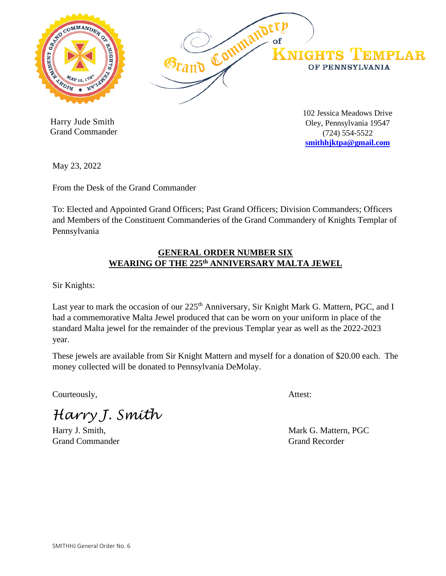

 Harry Jude Smith Grand Commander 102 Jessica Meadows Drive Oley, Pennsylvania 19547 (724) 554-5522 **[smithhjktpa@gmail.com](mailto:smithhjktpa@gmail.com)**

May 23, 2022

From the Desk of the Grand Commander

To: Elected and Appointed Grand Officers; Past Grand Officers; Division Commanders; Officers and Members of the Constituent Commanderies of the Grand Commandery of Knights Templar of Pennsylvania

## **GENERAL ORDER NUMBER SIX WEARING OF THE 225th ANNIVERSARY MALTA JEWEL**

Sir Knights:

Last year to mark the occasion of our 225<sup>th</sup> Anniversary, Sir Knight Mark G. Mattern, PGC, and I had a commemorative Malta Jewel produced that can be worn on your uniform in place of the standard Malta jewel for the remainder of the previous Templar year as well as the 2022-2023 year.

These jewels are available from Sir Knight Mattern and myself for a donation of \$20.00 each. The money collected will be donated to Pennsylvania DeMolay.

Courteously, Attest:

*Harry J. Smith*

Grand Commander Grand Recorder Grand Recorder

Harry J. Smith, Mark G. Mattern, PGC